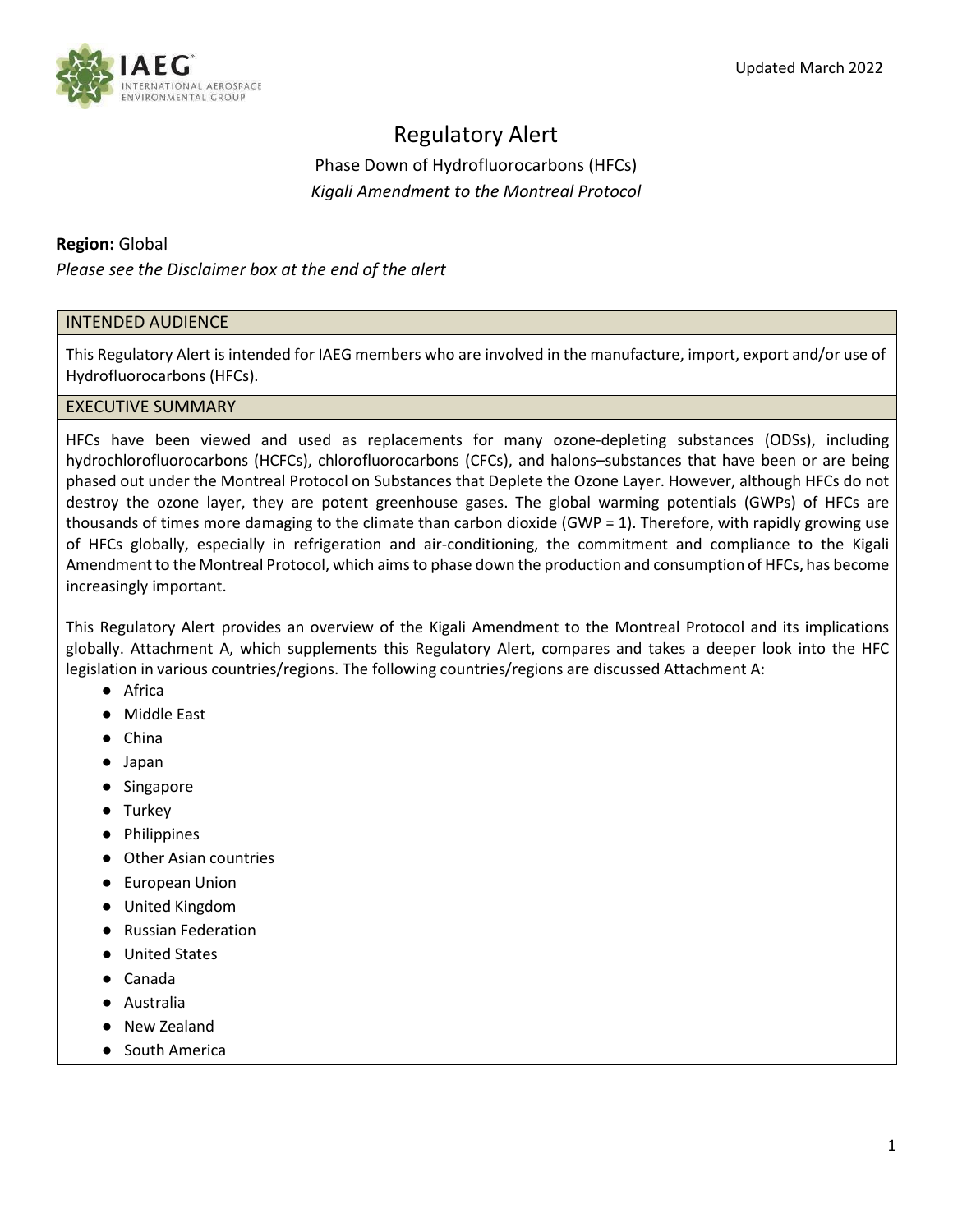# Regulatory Alert

Phase Down of Hydrofluorocarbons (HFCs) *Kigali Amendment to the Montreal Protocol*

# **Region:** Global

*Please see the Disclaimer box at the end of the alert*

# INTENDED AUDIENCE

This Regulatory Alert is intended for IAEG members who are involved in the manufacture, import, export and/or use of Hydrofluorocarbons (HFCs).

## EXECUTIVE SUMMARY

HFCs have been viewed and used as replacements for many ozone-depleting substances (ODSs), including hydrochlorofluorocarbons (HCFCs), chlorofluorocarbons (CFCs), and halons–substances that have been or are being phased out under the Montreal Protocol on Substances that Deplete the Ozone Layer. However, although HFCs do not destroy the ozone layer, they are potent greenhouse gases. The global warming potentials (GWPs) of HFCs are thousands of times more damaging to the climate than carbon dioxide (GWP = 1). Therefore, with rapidly growing use of HFCs globally, especially in refrigeration and air-conditioning, the commitment and compliance to the Kigali Amendment to the Montreal Protocol, which aims to phase down the production and consumption of HFCs, has become increasingly important.

This Regulatory Alert provides an overview of the Kigali Amendment to the Montreal Protocol and its implications globally. Attachment A, which supplements this Regulatory Alert, compares and takes a deeper look into the HFC legislation in various countries/regions. The following countries/regions are discussed Attachment A:

- Africa
- Middle East
- China
- Japan
- Singapore
- Turkey
- Philippines
- Other Asian countries
- European Union
- United Kingdom
- Russian Federation
- United States
- Canada
- Australia
- New Zealand
- South America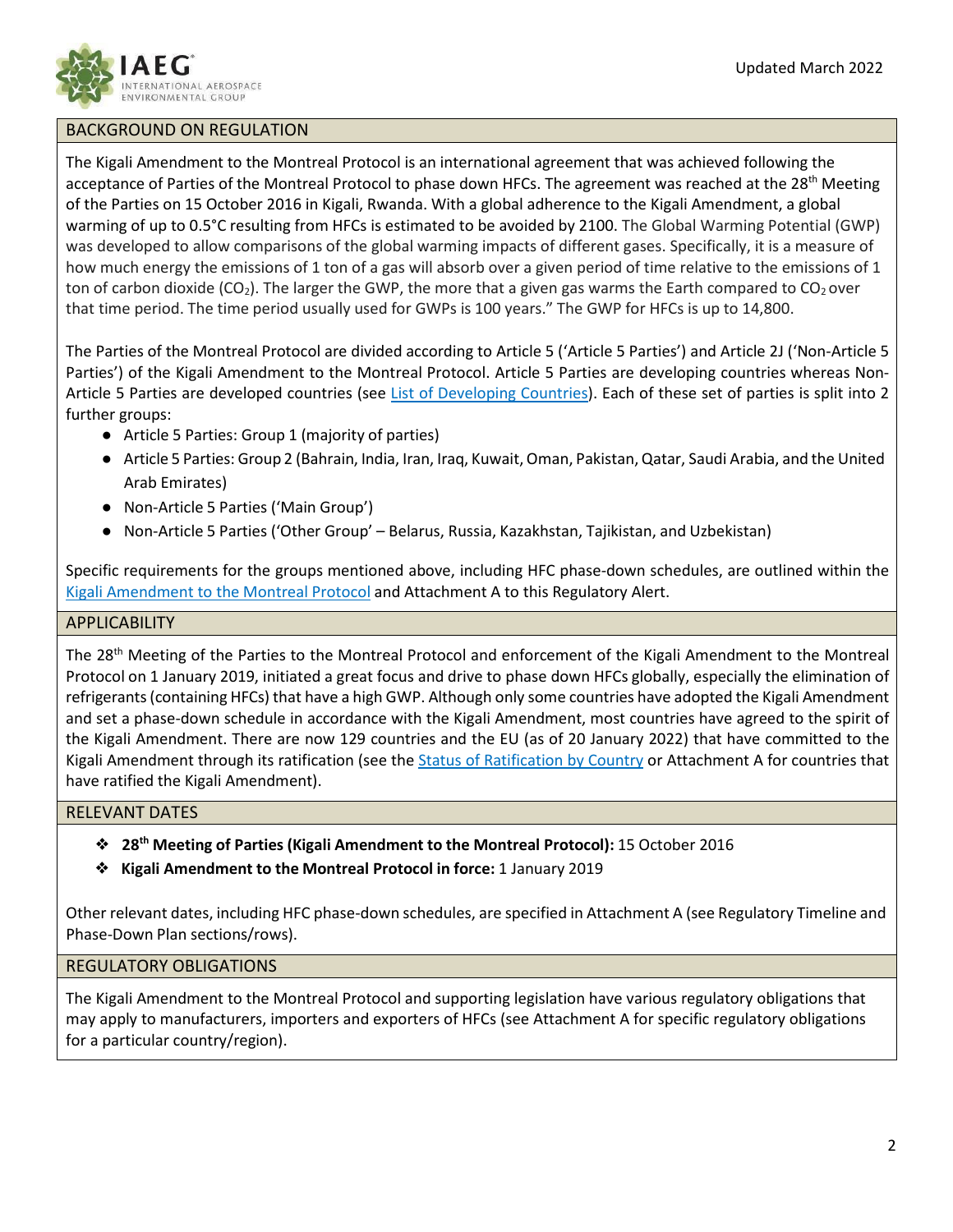

## BACKGROUND ON REGULATION

The Kigali Amendment to the Montreal Protocol is an international agreement that was achieved following the acceptance of Parties of the Montreal Protocol to phase down HFCs. The agreement was reached at the 28<sup>th</sup> Meeting of the Parties on 15 October 2016 in Kigali, Rwanda. With a global adherence to the Kigali Amendment, a global warming of up to 0.5°C resulting from HFCs is estimated to be avoided by 2100. The Global Warming Potential (GWP) was developed to allow comparisons of the global warming impacts of different gases. Specifically, it is a measure of how much energy the emissions of 1 ton of a gas will absorb over a given period of time relative to the emissions of 1 ton of carbon dioxide (CO<sub>2</sub>). The larger the GWP, the more that a given gas warms the Earth compared to CO<sub>2</sub> over that time period. The time period usually used for GWPs is 100 years." The GWP for HFCs is up to 14,800.

The Parties of the Montreal Protocol are divided according to Article 5 ('Article 5 Parties') and Article 2J ('Non-Article 5 Parties') of the Kigali Amendment to the Montreal Protocol. Article 5 Parties are developing countries whereas Non-Article 5 Parties are developed countries (see [List of Developing Countries\)](https://ozone.unep.org/treaties/montreal-protocol/meetings/first-meeting-parties/decisions/decision-i12e-clarification-terms-and-definitions-developing-countries). Each of these set of parties is split into 2 further groups:

- Article 5 Parties: Group 1 (majority of parties)
- Article 5 Parties: Group 2 (Bahrain, India, Iran, Iraq, Kuwait,Oman, Pakistan,Qatar, Saudi Arabia, and the United Arab Emirates)
- Non-Article 5 Parties ('Main Group')
- Non-Article 5 Parties ('Other Group' Belarus, Russia, Kazakhstan, Tajikistan, and Uzbekistan)

Specific requirements for the groups mentioned above, including HFC phase-down schedules, are outlined within the Kigali [Amendment](https://ozone.unep.org/treaties/montreal-protocol/amendments/kigali-amendment-2016-amendment-montreal-protocol-agreed) to the Montreal Protocol and Attachment A to this Regulatory Alert.

#### **APPLICABILITY**

The 28<sup>th</sup> Meeting of the Parties to the Montreal Protocol and enforcement of the Kigali Amendment to the Montreal Protocol on 1 January 2019, initiated a great focus and drive to phase down HFCs globally, especially the elimination of refrigerants(containing HFCs) that have a high GWP. Although only some countries have adopted the Kigali Amendment and set a phase-down schedule in accordance with the Kigali Amendment, most countries have agreed to the spirit of the Kigali Amendment. There are now 129 countries and the EU (as of 20 January 2022) that have committed to the Kigali Amendment through its ratification (see the [Status of Ratification by Country](https://ozone.unep.org/all-ratifications) or Attachment A for countries that have ratified the Kigali Amendment).

## RELEVANT DATES

- ❖ **28th Meeting of Parties (Kigali Amendment to the Montreal Protocol):** 15 October 2016
- ❖ **Kigali Amendment to the Montreal Protocol in force:** 1 January 2019

Other relevant dates, including HFC phase-down schedules, are specified in Attachment A (see Regulatory Timeline and Phase-Down Plan sections/rows).

# REGULATORY OBLIGATIONS

The Kigali Amendment to the Montreal Protocol and supporting legislation have various regulatory obligations that may apply to manufacturers, importers and exporters of HFCs (see Attachment A for specific regulatory obligations for a particular country/region).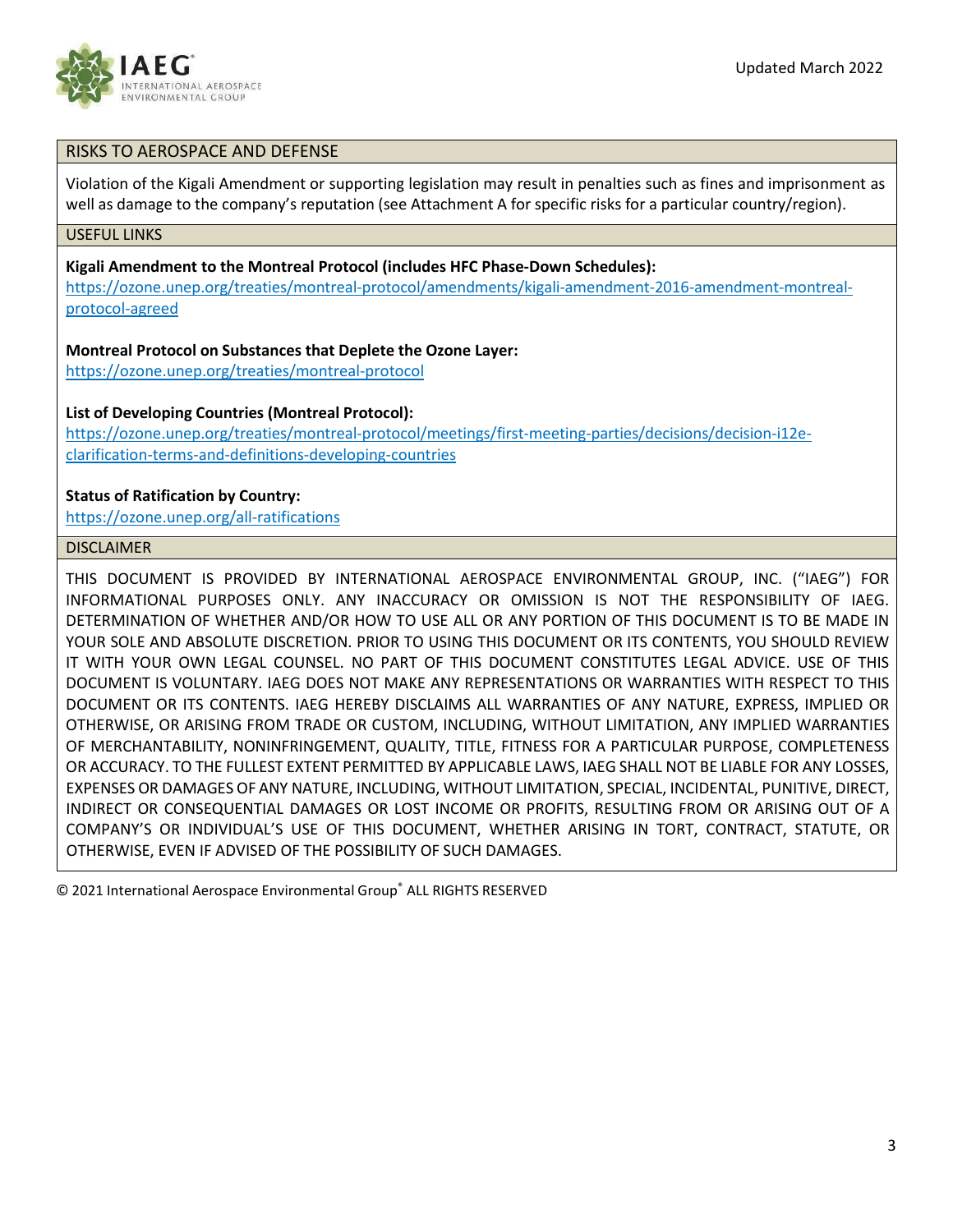

# RISKS TO AEROSPACE AND DEFENSE

Violation of the Kigali Amendment or supporting legislation may result in penalties such as fines and imprisonment as well as damage to the company's reputation (see Attachment A for specific risks for a particular country/region).

#### USEFUL LINKS

**Kigali Amendment to the Montreal Protocol (includes HFC Phase-Down Schedules):**

[https://ozone.unep.org/treaties/montreal-protocol/amendments/kigali-amendment-2016-amendment-montreal](https://ozone.unep.org/treaties/montreal-protocol/amendments/kigali-amendment-2016-amendment-montreal-protocol-agreed)[protocol-agreed](https://ozone.unep.org/treaties/montreal-protocol/amendments/kigali-amendment-2016-amendment-montreal-protocol-agreed)

#### **Montreal Protocol on Substances that Deplete the Ozone Layer:**

<https://ozone.unep.org/treaties/montreal-protocol>

### **List of Developing Countries (Montreal Protocol):**

[https://ozone.unep.org/treaties/montreal-protocol/meetings/first-meeting-parties/decisions/decision-i12e](https://ozone.unep.org/treaties/montreal-protocol/meetings/first-meeting-parties/decisions/decision-i12e-clarification-terms-and-definitions-developing-countries)[clarification-terms-and-definitions-developing-countries](https://ozone.unep.org/treaties/montreal-protocol/meetings/first-meeting-parties/decisions/decision-i12e-clarification-terms-and-definitions-developing-countries)

## **Status of Ratification by Country:**

<https://ozone.unep.org/all-ratifications>

## DISCLAIMER

THIS DOCUMENT IS PROVIDED BY INTERNATIONAL AEROSPACE ENVIRONMENTAL GROUP, INC. ("IAEG") FOR INFORMATIONAL PURPOSES ONLY. ANY INACCURACY OR OMISSION IS NOT THE RESPONSIBILITY OF IAEG. DETERMINATION OF WHETHER AND/OR HOW TO USE ALL OR ANY PORTION OF THIS DOCUMENT IS TO BE MADE IN YOUR SOLE AND ABSOLUTE DISCRETION. PRIOR TO USING THIS DOCUMENT OR ITS CONTENTS, YOU SHOULD REVIEW IT WITH YOUR OWN LEGAL COUNSEL. NO PART OF THIS DOCUMENT CONSTITUTES LEGAL ADVICE. USE OF THIS DOCUMENT IS VOLUNTARY. IAEG DOES NOT MAKE ANY REPRESENTATIONS OR WARRANTIES WITH RESPECT TO THIS DOCUMENT OR ITS CONTENTS. IAEG HEREBY DISCLAIMS ALL WARRANTIES OF ANY NATURE, EXPRESS, IMPLIED OR OTHERWISE, OR ARISING FROM TRADE OR CUSTOM, INCLUDING, WITHOUT LIMITATION, ANY IMPLIED WARRANTIES OF MERCHANTABILITY, NONINFRINGEMENT, QUALITY, TITLE, FITNESS FOR A PARTICULAR PURPOSE, COMPLETENESS OR ACCURACY. TO THE FULLEST EXTENT PERMITTED BY APPLICABLE LAWS, IAEG SHALL NOT BE LIABLE FOR ANY LOSSES, EXPENSES OR DAMAGES OF ANY NATURE, INCLUDING, WITHOUT LIMITATION, SPECIAL, INCIDENTAL, PUNITIVE, DIRECT, INDIRECT OR CONSEQUENTIAL DAMAGES OR LOST INCOME OR PROFITS, RESULTING FROM OR ARISING OUT OF A COMPANY'S OR INDIVIDUAL'S USE OF THIS DOCUMENT, WHETHER ARISING IN TORT, CONTRACT, STATUTE, OR OTHERWISE, EVEN IF ADVISED OF THE POSSIBILITY OF SUCH DAMAGES.

© 2021 International Aerospace Environmental Group® ALL RIGHTS RESERVED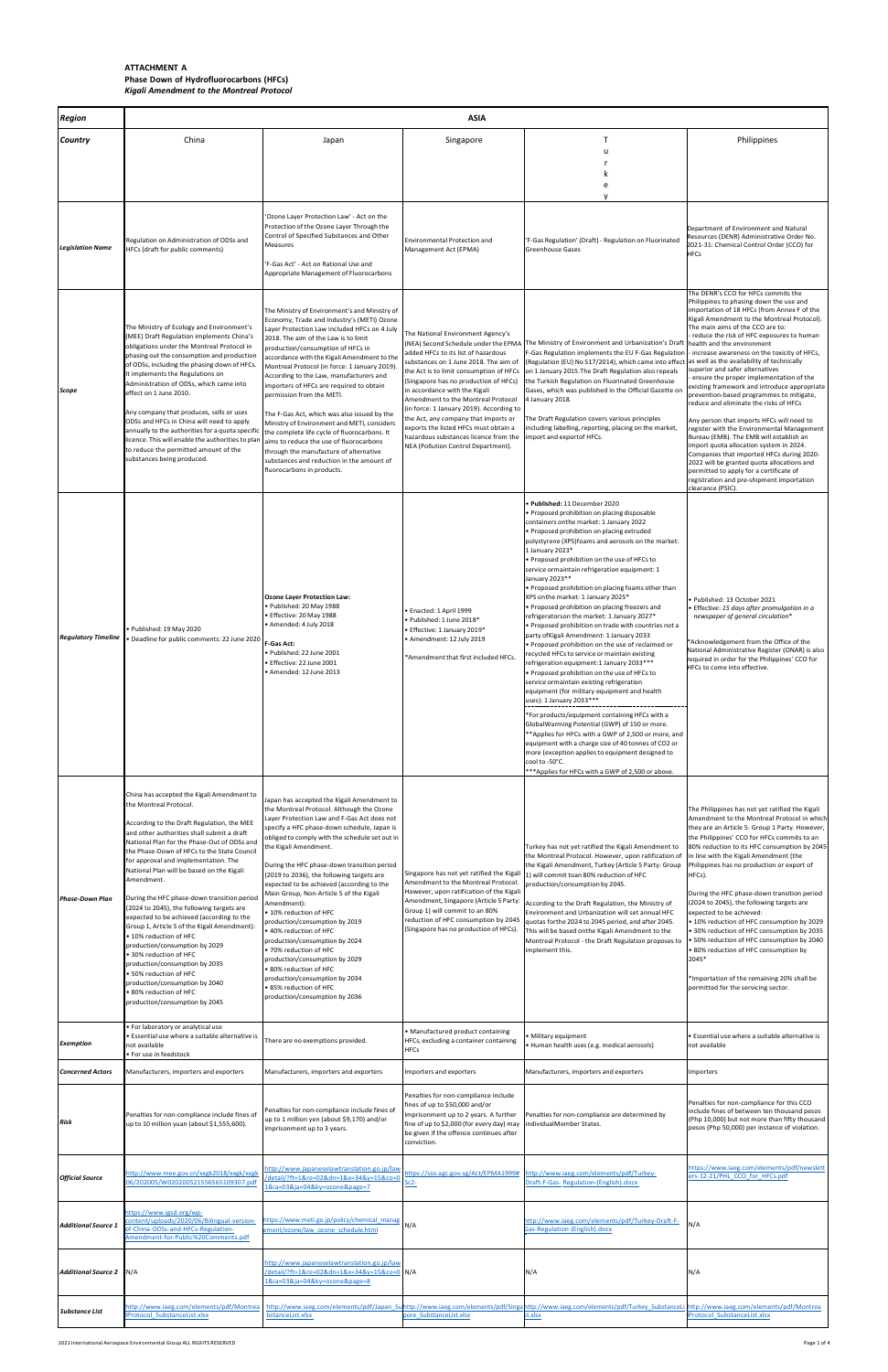| <b>Region</b>              | <b>ASIA</b>                                                                                                                                                                                                                                                                                                                                                                                                                                                                                                                                                                                                                                                                                                                                                                                            |                                                                                                                                                                                                                                                                                                                                                                                                                                                                                                                                                                                                                                                                                                                                                                             |                                                                                                                                                                                                                                                                                                                                                                                                                                                                                           |                                                                                                                                                                                                                                                                                                                                                                                                                                                                                                                                                                                                                                                                                                                                                                                                                                                                                                                                                                                                                                                                                                                                                                                                                                                                                    |                                                                                                                                                                                                                                                                                                                                                                                                                                                                                                                                                                                                                                                                                                                                                                                                                                                                              |
|----------------------------|--------------------------------------------------------------------------------------------------------------------------------------------------------------------------------------------------------------------------------------------------------------------------------------------------------------------------------------------------------------------------------------------------------------------------------------------------------------------------------------------------------------------------------------------------------------------------------------------------------------------------------------------------------------------------------------------------------------------------------------------------------------------------------------------------------|-----------------------------------------------------------------------------------------------------------------------------------------------------------------------------------------------------------------------------------------------------------------------------------------------------------------------------------------------------------------------------------------------------------------------------------------------------------------------------------------------------------------------------------------------------------------------------------------------------------------------------------------------------------------------------------------------------------------------------------------------------------------------------|-------------------------------------------------------------------------------------------------------------------------------------------------------------------------------------------------------------------------------------------------------------------------------------------------------------------------------------------------------------------------------------------------------------------------------------------------------------------------------------------|------------------------------------------------------------------------------------------------------------------------------------------------------------------------------------------------------------------------------------------------------------------------------------------------------------------------------------------------------------------------------------------------------------------------------------------------------------------------------------------------------------------------------------------------------------------------------------------------------------------------------------------------------------------------------------------------------------------------------------------------------------------------------------------------------------------------------------------------------------------------------------------------------------------------------------------------------------------------------------------------------------------------------------------------------------------------------------------------------------------------------------------------------------------------------------------------------------------------------------------------------------------------------------|------------------------------------------------------------------------------------------------------------------------------------------------------------------------------------------------------------------------------------------------------------------------------------------------------------------------------------------------------------------------------------------------------------------------------------------------------------------------------------------------------------------------------------------------------------------------------------------------------------------------------------------------------------------------------------------------------------------------------------------------------------------------------------------------------------------------------------------------------------------------------|
| <b>Country</b>             | China                                                                                                                                                                                                                                                                                                                                                                                                                                                                                                                                                                                                                                                                                                                                                                                                  | Japan                                                                                                                                                                                                                                                                                                                                                                                                                                                                                                                                                                                                                                                                                                                                                                       | Singapore                                                                                                                                                                                                                                                                                                                                                                                                                                                                                 |                                                                                                                                                                                                                                                                                                                                                                                                                                                                                                                                                                                                                                                                                                                                                                                                                                                                                                                                                                                                                                                                                                                                                                                                                                                                                    | Philippines                                                                                                                                                                                                                                                                                                                                                                                                                                                                                                                                                                                                                                                                                                                                                                                                                                                                  |
|                            |                                                                                                                                                                                                                                                                                                                                                                                                                                                                                                                                                                                                                                                                                                                                                                                                        |                                                                                                                                                                                                                                                                                                                                                                                                                                                                                                                                                                                                                                                                                                                                                                             |                                                                                                                                                                                                                                                                                                                                                                                                                                                                                           |                                                                                                                                                                                                                                                                                                                                                                                                                                                                                                                                                                                                                                                                                                                                                                                                                                                                                                                                                                                                                                                                                                                                                                                                                                                                                    |                                                                                                                                                                                                                                                                                                                                                                                                                                                                                                                                                                                                                                                                                                                                                                                                                                                                              |
|                            |                                                                                                                                                                                                                                                                                                                                                                                                                                                                                                                                                                                                                                                                                                                                                                                                        |                                                                                                                                                                                                                                                                                                                                                                                                                                                                                                                                                                                                                                                                                                                                                                             |                                                                                                                                                                                                                                                                                                                                                                                                                                                                                           |                                                                                                                                                                                                                                                                                                                                                                                                                                                                                                                                                                                                                                                                                                                                                                                                                                                                                                                                                                                                                                                                                                                                                                                                                                                                                    |                                                                                                                                                                                                                                                                                                                                                                                                                                                                                                                                                                                                                                                                                                                                                                                                                                                                              |
|                            |                                                                                                                                                                                                                                                                                                                                                                                                                                                                                                                                                                                                                                                                                                                                                                                                        | 'Ozone Layer Protection Law' - Act on the                                                                                                                                                                                                                                                                                                                                                                                                                                                                                                                                                                                                                                                                                                                                   |                                                                                                                                                                                                                                                                                                                                                                                                                                                                                           |                                                                                                                                                                                                                                                                                                                                                                                                                                                                                                                                                                                                                                                                                                                                                                                                                                                                                                                                                                                                                                                                                                                                                                                                                                                                                    |                                                                                                                                                                                                                                                                                                                                                                                                                                                                                                                                                                                                                                                                                                                                                                                                                                                                              |
| <b>Legislation Name</b>    | Regulation on Administration of ODSs and<br>HFCs (draft for public comments)                                                                                                                                                                                                                                                                                                                                                                                                                                                                                                                                                                                                                                                                                                                           | Protection of the Ozone Layer Through the<br>Control of Specified Substances and Other<br>Measures<br>'F-Gas Act' - Act on Rational Use and<br>Appropriate Management of Fluorocarbons                                                                                                                                                                                                                                                                                                                                                                                                                                                                                                                                                                                      | Environmental Protection and<br>Management Act (EPMA)                                                                                                                                                                                                                                                                                                                                                                                                                                     | 'F-Gas Regulation' (Draft) - Regulation on Fluorinated<br>Greenhouse Gases                                                                                                                                                                                                                                                                                                                                                                                                                                                                                                                                                                                                                                                                                                                                                                                                                                                                                                                                                                                                                                                                                                                                                                                                         | Department of Environment and Natural<br>Resources (DENR) Administrative Order No.<br>2021-31: Chemical Control Order (CCO) for<br><b>HFCs</b>                                                                                                                                                                                                                                                                                                                                                                                                                                                                                                                                                                                                                                                                                                                               |
| Scope                      | The Ministry of Ecology and Environment's<br>(MEE) Draft Regulation implements China's<br>obligations under the Montreal Protocol in<br>phasing out the consumption and production<br>of ODSs, including the phasing down of HFCs.<br>It implements the Regulations on<br>Administration of ODSs, which came into<br>effect on 1 June 2010.<br>Any company that produces, sells or uses<br>ODSs and HFCs in China will need to apply<br>annually to the authorities for a quota specific<br>licence. This will enable the authorities to plan<br>to reduce the permitted amount of the<br>substances being produced.                                                                                                                                                                                   | The Ministry of Environment's and Ministry of<br>Economy, Trade and Industry's (METI) Ozone<br>Layer Protection Law included HFCs on 4 July<br>2018. The aim of the Law is to limit<br>production/consumption of HFCs in<br>accordance with the Kigali Amendment to the<br>Montreal Protocol (in force: 1 January 2019).<br>According to the Law, manufacturers and<br>importers of HFCs are required to obtain<br>permission from the METI.<br>The F-Gas Act, which was also issued by the<br>Ministry of Environment and METI, considers<br>the complete life cycle of fluorocarbons. It<br>aims to reduce the use of fluorocarbons<br>through the manufacture of alternative<br>substances and reduction in the amount of<br>fluorocarbons in products.                  | The National Environment Agency's<br>added HFCs to its list of hazardous<br>substances on 1 June 2018. The aim of<br>the Act is to limit consumption of HFCs<br>(Singapore has no production of HFCs)<br>in accordance with the Kigali<br>Amendment to the Montreal Protocol<br>(in force: 1 January 2019). According to<br>the Act, any company that imports or<br>exports the listed HFCs must obtain a<br>hazardous substances licence from the<br>NEA (Pollution Control Department). | (NEA) Second Schedule under the EPMA The Ministry of Environment and Urbanization's Draft   health and the environment<br>F-Gas Regulation implements the EU F-Gas Regulation   - increase awareness on the toxicity of HFCs,<br>(Regulation (EU) No 517/2014), which came into effect as well as the availability of technically<br>on 1 January 2015. The Draft Regulation also repeals<br>the Turkish Regulation on Fluorinated Greenhouse<br>Gases, which was published in the Official Gazette or<br>4 January 2018.<br>The Draft Regulation covers various principles<br>including labelling, reporting, placing on the market,<br>import and exportof HFCs.                                                                                                                                                                                                                                                                                                                                                                                                                                                                                                                                                                                                                 | The DENR's CCO for HFCs commits the<br>Philippines to phasing down the use and<br>importation of 18 HFCs (from Annex F of the<br>Kigali Amendment to the Montreal Protocol).<br>The main aims of the CCO are to:<br>- reduce the risk of HFC exposures to human<br>superior and safer alternatives<br>ensure the proper implementation of the<br>existing framework and introduce appropriate<br>prevention-based programmes to mitigate,<br>reduce and eliminate the risks of HFCs<br>Any person that imports HFCs will need to<br>register with the Environmental Management<br>Bureau (EMB). The EMB will establish an<br>import quota allocation system in 2024.<br>Companies that imported HFCs during 2020-<br>2022 will be granted quota allocations and<br>permitted to apply for a certificate of<br>registration and pre-shipment importation<br>clearance (PSIC). |
| <b>Regulatory Timeline</b> | Published: 19 May 2020<br>Deadline for public comments: 22 June 2020                                                                                                                                                                                                                                                                                                                                                                                                                                                                                                                                                                                                                                                                                                                                   | <b>Ozone Layer Protection Law:</b><br>Published: 20 May 1988 •<br>Effective: 20 May 1988<br>· Amended: 4 July 2018<br>F-Gas Act:<br>Published: 22 June 2001<br>Effective: 22 June 2001<br>Amended: 12 June 2013                                                                                                                                                                                                                                                                                                                                                                                                                                                                                                                                                             | · Enacted: 1 April 1999<br>· Published: 1 June 2018*<br>• Effective: 1 January 2019*<br>• Amendment: 12 July 2019<br>*Amendment that first included HFCs.                                                                                                                                                                                                                                                                                                                                 | Published: 11 December 2020<br>Proposed prohibition on placing disposable<br>containers onthe market: 1 January 2022<br>• Proposed prohibition on placing extruded<br>polystyrene (XPS) foams and aerosols on the market:<br>1 January 2023*<br>. Proposed prohibition on the use of HFCs to<br>service ormaintain refrigeration equipment: 1<br>January 2023**<br>• Proposed prohibition on placing foams other than<br>XPS onthe market: 1 January 2025*<br>· Proposed prohibition on placing freezers and<br>refrigeratorson the market: 1 January 2027*<br>Proposed prohibition on trade with countries not a<br>party of Kigali Amendment: 1 January 2033<br>• Proposed prohibition on the use of reclaimed or<br>recycled HFCs to service or maintain existing<br>refrigeration equipment:1 January 2033***<br>• Proposed prohibition on the use of HFCs to<br>service ormaintain existing refrigeration<br>equipment (for military equipment and health<br>uses): 1 January 2033 ***<br>*For products/equipment containing HFCs with a<br>GlobalWarming Potential (GWP) of 150 or more.<br>**Applies for HFCs with a GWP of 2,500 or more, and<br>equipment with a charge size of 40 tonnes of CO2 or<br>more (exception applies to equipment designed to<br>cool to -50°C. | • Published: 13 October 2021<br>· Effective: 15 days after promulgation in a<br>newspaper of general circulation*<br>*Acknowledgement from the Office of the<br>National Administrative Register (ONAR) is also<br>required in order for the Philippines' CCO for<br>HFCs to come into effective.                                                                                                                                                                                                                                                                                                                                                                                                                                                                                                                                                                            |
| <b>Phase-Down Plan</b>     | China has accepted the Kigali Amendment to<br>the Montreal Protocol.<br>According to the Draft Regulation, the MEE<br>and other authorities shall submit a draft<br>National Plan for the Phase-Out of ODSs and<br>the Phase-Down of HFCs to the State Council<br>for approval and implementation. The<br>National Plan will be based on the Kigali<br>Amendment.<br>During the HFC phase-down transition period<br>(2024 to 2045), the following targets are<br>expected to be achieved (according to the<br>Group 1, Article 5 of the Kigali Amendment):<br>• 10% reduction of HFC<br>production/consumption by 2029<br>30% reduction of HFC<br>production/consumption by 2035<br>50% reduction of HFC<br>production/consumption by 2040<br>• 80% reduction of HFC<br>production/consumption by 2045 | Japan has accepted the Kigali Amendment to<br>the Montreal Protocol. Although the Ozone<br>Layer Protection Law and F-Gas Act does not<br>specify a HFC phase-down schedule, Japan is<br>obliged to comply with the schedule set out in<br>the Kigali Amendment.<br>During the HFC phase-down transition period<br>(2019 to 2036), the following targets are<br>expected to be achieved (according to the<br>Main Group, Non-Article 5 of the Kigali<br>Amendment):<br>● 10% reduction of HFC<br>production/consumption by 2019<br>40% reduction of HFC<br>production/consumption by 2024<br>• 70% reduction of HFC<br>production/consumption by 2029<br>● 80% reduction of HFC<br>production/consumption by 2034<br>85% reduction of HFC<br>production/consumption by 2036 | Singapore has not yet ratified the Kigali<br>Amendment to the Montreal Protocol.<br>However, upon ratification of the Kigali<br>Amendment, Singapore (Article 5 Party:<br>Group 1) will commit to an 80%<br>reduction of HFC consumption by 2045<br>(Singapore has no production of HFCs).                                                                                                                                                                                                | ***Applies for HFCs with a GWP of 2,500 or above.<br>Turkey has not yet ratified the Kigali Amendment to<br>the Montreal Protocol. However, upon ratification o<br>the Kigali Amendment, Turkey (Article 5 Party: Group<br>1) will commit toan 80% reduction of HFC<br>production/consumption by 2045.<br>According to the Draft Regulation, the Ministry of<br>Environment and Urbanization will set annual HFC<br>quotas forthe 2024 to 2045 period, and after 2045.<br>This will be based onthe Kigali Amendment to the<br>Montreal Protocol - the Draft Regulation proposes to<br>implement this.                                                                                                                                                                                                                                                                                                                                                                                                                                                                                                                                                                                                                                                                              | The Philippines has not yet ratified the Kigali<br>Amendment to the Montreal Protocol in which<br>they are an Article 5: Group 1 Party. However,<br>the Philippines' CCO for HFCs commits to an<br>80% reduction to its HFC consumption by 2045<br>in line with the Kigali Amendment (the<br>Philippines has no production or export of<br>HFCs).<br>During the HFC phase-down transition period<br>(2024 to 2045), the following targets are<br>expected to be achieved:<br>• 10% reduction of HFC consumption by 2029<br>• 30% reduction of HFC consumption by 2035<br>• 50% reduction of HFC consumption by 2040<br>• 80% reduction of HFC consumption by<br>2045*<br>*Importation of the remaining 20% shall be<br>permitted for the servicing sector.                                                                                                                   |
| Exemption                  | · For laboratory or analytical use<br>Essential use where a suitable alternative is<br>not available<br>For use in feedstock                                                                                                                                                                                                                                                                                                                                                                                                                                                                                                                                                                                                                                                                           | There are no exemptions provided.                                                                                                                                                                                                                                                                                                                                                                                                                                                                                                                                                                                                                                                                                                                                           | • Manufactured product containing<br>HFCs, excluding a container containing<br><b>HFCs</b>                                                                                                                                                                                                                                                                                                                                                                                                | Military equipment<br>Human health uses (e.g. medical aerosols)                                                                                                                                                                                                                                                                                                                                                                                                                                                                                                                                                                                                                                                                                                                                                                                                                                                                                                                                                                                                                                                                                                                                                                                                                    | • Essential use where a suitable alternative is<br>not available                                                                                                                                                                                                                                                                                                                                                                                                                                                                                                                                                                                                                                                                                                                                                                                                             |
| <b>Concerned Actors</b>    | Manufacturers, importers and exporters                                                                                                                                                                                                                                                                                                                                                                                                                                                                                                                                                                                                                                                                                                                                                                 | Manufacturers, importers and exporters                                                                                                                                                                                                                                                                                                                                                                                                                                                                                                                                                                                                                                                                                                                                      | Importers and exporters                                                                                                                                                                                                                                                                                                                                                                                                                                                                   | Manufacturers, importers and exporters                                                                                                                                                                                                                                                                                                                                                                                                                                                                                                                                                                                                                                                                                                                                                                                                                                                                                                                                                                                                                                                                                                                                                                                                                                             | Importers                                                                                                                                                                                                                                                                                                                                                                                                                                                                                                                                                                                                                                                                                                                                                                                                                                                                    |
| Risk                       | Penalties for non-compliance include fines of<br>up to 10 million yuan (about \$1,555,600).                                                                                                                                                                                                                                                                                                                                                                                                                                                                                                                                                                                                                                                                                                            | Penalties for non-compliance include fines of<br>up to 1 million yen (about \$9,170) and/or<br>imprisonment up to 3 years.                                                                                                                                                                                                                                                                                                                                                                                                                                                                                                                                                                                                                                                  | Penalties for non-compliance include<br>fines of up to \$50,000 and/or<br>imprisonment up to 2 years. A further<br>fine of up to \$2,000 (for every day) may<br>be given if the offence continues after<br>conviction.                                                                                                                                                                                                                                                                    | Penalties for non-compliance are determined by<br>ndividualMember States.                                                                                                                                                                                                                                                                                                                                                                                                                                                                                                                                                                                                                                                                                                                                                                                                                                                                                                                                                                                                                                                                                                                                                                                                          | Penalties for non-compliance for this CCO<br>include fines of between ten thousand pesos<br>(Php 10,000) but not more than fifty thousand<br>pesos (Php 50,000) per instance of violation.                                                                                                                                                                                                                                                                                                                                                                                                                                                                                                                                                                                                                                                                                   |
| <b>Official Source</b>     | http://www.mee.gov.cn/xxgk2018/xxgk/xxgk<br>06/202005/W020200521556565109307.pdf                                                                                                                                                                                                                                                                                                                                                                                                                                                                                                                                                                                                                                                                                                                       | nttp://www.japaneselawtranslation.go.jp/law<br>detail/?ft=1&re=02&dn=1&x=34&y=15&co=0<br>1&ia=03&ja=04&ky=ozone&page=7                                                                                                                                                                                                                                                                                                                                                                                                                                                                                                                                                                                                                                                      | https://sso.agc.gov.sg/Act/EPMA1999#<br>$Sc2-$                                                                                                                                                                                                                                                                                                                                                                                                                                            | http://www.iaeg.com/elements/pdf/Turkey-<br>Draft-F-Gas-Regulation-(English).docx                                                                                                                                                                                                                                                                                                                                                                                                                                                                                                                                                                                                                                                                                                                                                                                                                                                                                                                                                                                                                                                                                                                                                                                                  | https://www.iaeg.com/elements/pdf/newslett<br>ers-12-21/PHL CCO for HFCs.pdf                                                                                                                                                                                                                                                                                                                                                                                                                                                                                                                                                                                                                                                                                                                                                                                                 |
| <b>Additional Source 1</b> | https://www.igsd.org/wp-<br>content/uploads/2020/06/Bilingual-version-<br>of-China-ODSs-and-HFCs-Regulation-<br>Amendment-for-Public%20Comments.pdf                                                                                                                                                                                                                                                                                                                                                                                                                                                                                                                                                                                                                                                    | ttps://www.meti.go.jp/policy/chemical manag<br>ment/ozone/law ozone schedule.html                                                                                                                                                                                                                                                                                                                                                                                                                                                                                                                                                                                                                                                                                           | N/A                                                                                                                                                                                                                                                                                                                                                                                                                                                                                       | http://www.iaeg.com/elements/pdf/Turkey-Draft-F-<br>Gas-Regulation-(English).docx                                                                                                                                                                                                                                                                                                                                                                                                                                                                                                                                                                                                                                                                                                                                                                                                                                                                                                                                                                                                                                                                                                                                                                                                  | N/A                                                                                                                                                                                                                                                                                                                                                                                                                                                                                                                                                                                                                                                                                                                                                                                                                                                                          |
| Additional Source 2 N/A    |                                                                                                                                                                                                                                                                                                                                                                                                                                                                                                                                                                                                                                                                                                                                                                                                        | http://www.japaneselawtranslation.go.jp/law<br><u>/detail/?ft=1&amp;re=02&amp;dn=1&amp;x=34&amp;y=15&amp;co=0</u> N/A<br>1&ia=03&ja=04&ky=ozone&page=8                                                                                                                                                                                                                                                                                                                                                                                                                                                                                                                                                                                                                      |                                                                                                                                                                                                                                                                                                                                                                                                                                                                                           | N/A                                                                                                                                                                                                                                                                                                                                                                                                                                                                                                                                                                                                                                                                                                                                                                                                                                                                                                                                                                                                                                                                                                                                                                                                                                                                                | N/A                                                                                                                                                                                                                                                                                                                                                                                                                                                                                                                                                                                                                                                                                                                                                                                                                                                                          |
| <b>Substance List</b>      | http://www.iaeg.com/elements/pdf/Montrea<br><b>IProtocol SubstanceList.xlsx</b>                                                                                                                                                                                                                                                                                                                                                                                                                                                                                                                                                                                                                                                                                                                        | bstanceList.xlsx                                                                                                                                                                                                                                                                                                                                                                                                                                                                                                                                                                                                                                                                                                                                                            | pore SubstanceList.xlsx                                                                                                                                                                                                                                                                                                                                                                                                                                                                   | http://www.iaeg.com/elements/pdf/Japan Suhttp://www.iaeg.com/elements/pdf/Singahttp://www.iaeg.com/elements/pdf/Turkey SubstanceLi http://www.iaeg.com/elements/pdf/Montrea<br>st.xlsx                                                                                                                                                                                                                                                                                                                                                                                                                                                                                                                                                                                                                                                                                                                                                                                                                                                                                                                                                                                                                                                                                             | <b>IProtocol SubstanceList.xlsx</b>                                                                                                                                                                                                                                                                                                                                                                                                                                                                                                                                                                                                                                                                                                                                                                                                                                          |
|                            |                                                                                                                                                                                                                                                                                                                                                                                                                                                                                                                                                                                                                                                                                                                                                                                                        |                                                                                                                                                                                                                                                                                                                                                                                                                                                                                                                                                                                                                                                                                                                                                                             |                                                                                                                                                                                                                                                                                                                                                                                                                                                                                           |                                                                                                                                                                                                                                                                                                                                                                                                                                                                                                                                                                                                                                                                                                                                                                                                                                                                                                                                                                                                                                                                                                                                                                                                                                                                                    |                                                                                                                                                                                                                                                                                                                                                                                                                                                                                                                                                                                                                                                                                                                                                                                                                                                                              |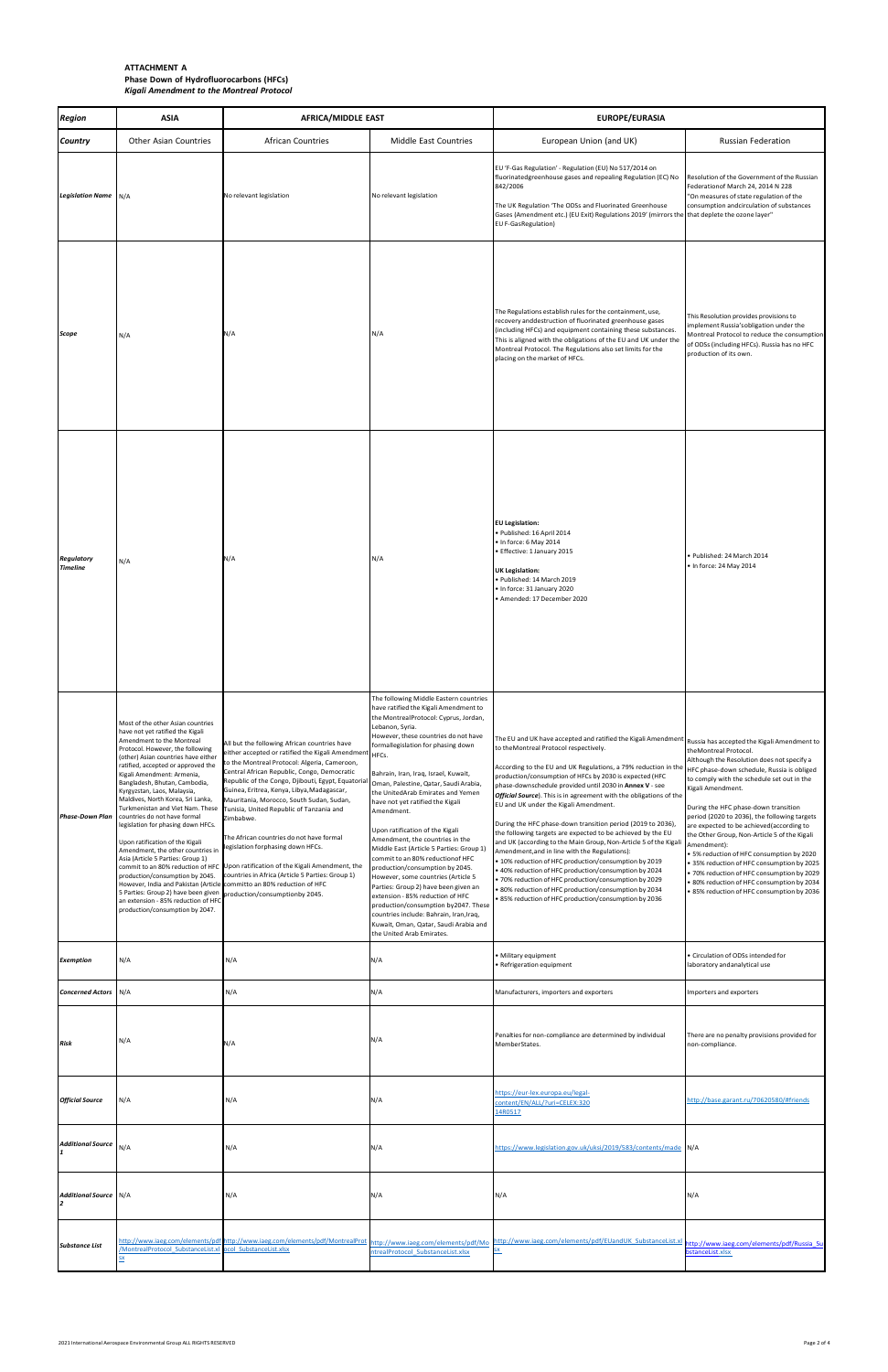| <b>Region</b>                        | <b>ASIA</b>                                                                                                                                                                                                                                                                                                                                                                                                                                                                                                                                                                                                                                                                                                                                                                                                                               | <b>AFRICA/MIDDLE EAST</b>                                                                                                                                                                                                                                                                                                                                                                                                                                                                                                                                                                                                                              |                                                                                                                                                                                                                                                                                                                                                                                                                                                                                                                                                                                                                                                                                                                                                                                                                                                                        | EUROPE/EURASIA                                                                                                                                                                                                                                                                                                                                                                                                                                                                                                                                                                                                                                                                                                                                                                                                                                                                                                                                                                                                                                             |                                                                                                                                                                                                                                                                                                                                                                                                                                                                                                                                                                                |  |
|--------------------------------------|-------------------------------------------------------------------------------------------------------------------------------------------------------------------------------------------------------------------------------------------------------------------------------------------------------------------------------------------------------------------------------------------------------------------------------------------------------------------------------------------------------------------------------------------------------------------------------------------------------------------------------------------------------------------------------------------------------------------------------------------------------------------------------------------------------------------------------------------|--------------------------------------------------------------------------------------------------------------------------------------------------------------------------------------------------------------------------------------------------------------------------------------------------------------------------------------------------------------------------------------------------------------------------------------------------------------------------------------------------------------------------------------------------------------------------------------------------------------------------------------------------------|------------------------------------------------------------------------------------------------------------------------------------------------------------------------------------------------------------------------------------------------------------------------------------------------------------------------------------------------------------------------------------------------------------------------------------------------------------------------------------------------------------------------------------------------------------------------------------------------------------------------------------------------------------------------------------------------------------------------------------------------------------------------------------------------------------------------------------------------------------------------|------------------------------------------------------------------------------------------------------------------------------------------------------------------------------------------------------------------------------------------------------------------------------------------------------------------------------------------------------------------------------------------------------------------------------------------------------------------------------------------------------------------------------------------------------------------------------------------------------------------------------------------------------------------------------------------------------------------------------------------------------------------------------------------------------------------------------------------------------------------------------------------------------------------------------------------------------------------------------------------------------------------------------------------------------------|--------------------------------------------------------------------------------------------------------------------------------------------------------------------------------------------------------------------------------------------------------------------------------------------------------------------------------------------------------------------------------------------------------------------------------------------------------------------------------------------------------------------------------------------------------------------------------|--|
| <b>Country</b>                       | Other Asian Countries                                                                                                                                                                                                                                                                                                                                                                                                                                                                                                                                                                                                                                                                                                                                                                                                                     | <b>African Countries</b>                                                                                                                                                                                                                                                                                                                                                                                                                                                                                                                                                                                                                               | <b>Middle East Countries</b>                                                                                                                                                                                                                                                                                                                                                                                                                                                                                                                                                                                                                                                                                                                                                                                                                                           | European Union (and UK)                                                                                                                                                                                                                                                                                                                                                                                                                                                                                                                                                                                                                                                                                                                                                                                                                                                                                                                                                                                                                                    | Russian Federation                                                                                                                                                                                                                                                                                                                                                                                                                                                                                                                                                             |  |
| Legislation Name N/A                 |                                                                                                                                                                                                                                                                                                                                                                                                                                                                                                                                                                                                                                                                                                                                                                                                                                           | No relevant legislation                                                                                                                                                                                                                                                                                                                                                                                                                                                                                                                                                                                                                                | No relevant legislation                                                                                                                                                                                                                                                                                                                                                                                                                                                                                                                                                                                                                                                                                                                                                                                                                                                | EU 'F-Gas Regulation' - Regulation (EU) No 517/2014 on<br>fluorinatedgreenhouse gases and repealing Regulation (EC) No<br>842/2006<br>The UK Regulation 'The ODSs and Fluorinated Greenhouse<br>Gases (Amendment etc.) (EU Exit) Regulations 2019' (mirrors the that deplete the ozone layer"<br><b>EU F-GasRegulation)</b>                                                                                                                                                                                                                                                                                                                                                                                                                                                                                                                                                                                                                                                                                                                                | Resolution of the Government of the Russian<br>Federationof March 24, 2014 N 228<br>"On measures of state regulation of the<br>consumption andcirculation of substances                                                                                                                                                                                                                                                                                                                                                                                                        |  |
| Scope                                | N/A                                                                                                                                                                                                                                                                                                                                                                                                                                                                                                                                                                                                                                                                                                                                                                                                                                       | N/A                                                                                                                                                                                                                                                                                                                                                                                                                                                                                                                                                                                                                                                    | N/A                                                                                                                                                                                                                                                                                                                                                                                                                                                                                                                                                                                                                                                                                                                                                                                                                                                                    | The Regulations establish rules for the containment, use,<br>recovery anddestruction of fluorinated greenhouse gases<br>(including HFCs) and equipment containing these substances.<br>This is aligned with the obligations of the EU and UK under the<br>Montreal Protocol. The Regulations also set limits for the<br>placing on the market of HFCs.                                                                                                                                                                                                                                                                                                                                                                                                                                                                                                                                                                                                                                                                                                     | This Resolution provides provisions to<br>implement Russia'sobligation under the<br>Montreal Protocol to reduce the consumption<br>of ODSs (including HFCs). Russia has no HFC<br>production of its own.                                                                                                                                                                                                                                                                                                                                                                       |  |
| <b>Regulatory</b><br><b>Timeline</b> | N/A                                                                                                                                                                                                                                                                                                                                                                                                                                                                                                                                                                                                                                                                                                                                                                                                                                       | N/A                                                                                                                                                                                                                                                                                                                                                                                                                                                                                                                                                                                                                                                    | N/A                                                                                                                                                                                                                                                                                                                                                                                                                                                                                                                                                                                                                                                                                                                                                                                                                                                                    | <b>EU Legislation:</b><br>· Published: 16 April 2014<br>· In force: 6 May 2014<br>· Effective: 1 January 2015<br><b>UK Legislation:</b><br>· Published: 14 March 2019<br>• In force: 31 January 2020<br>Amended: 17 December 2020                                                                                                                                                                                                                                                                                                                                                                                                                                                                                                                                                                                                                                                                                                                                                                                                                          | · Published: 24 March 2014<br>• In force: 24 May 2014                                                                                                                                                                                                                                                                                                                                                                                                                                                                                                                          |  |
| <b>Phase-Down Plan</b>               | Most of the other Asian countries<br>have not yet ratified the Kigali<br>Amendment to the Montreal<br>Protocol. However, the following<br>(other) Asian countries have either<br>ratified, accepted or approved the<br>Kigali Amendment: Armenia,<br>Bangladesh, Bhutan, Cambodia,<br>Kyrgyzstan, Laos, Malaysia,<br>Maldives, North Korea, Sri Lanka,<br>Turkmenistan and Viet Nam. These<br>countries do not have formal<br>legislation for phasing down HFCs.<br>Upon ratification of the Kigali<br>Amendment, the other countries in<br>Asia (Article 5 Parties: Group 1)<br>production/consumption by 2045.<br>However, India and Pakistan (Article committo an 80% reduction of HFC<br>5 Parties: Group 2) have been given production/consumptionby 2045.<br>an extension - 85% reduction of HFC<br>production/consumption by 2047. | All but the following African countries have<br>either accepted or ratified the Kigali Amendment $ _{\mathsf{HFCs.}}$<br>to the Montreal Protocol: Algeria, Cameroon,<br>Central African Republic, Congo, Democratic<br>Republic of the Congo, Djibouti, Egypt, Equatorial<br>Guinea, Eritrea, Kenya, Libya, Madagascar,<br>Mauritania, Morocco, South Sudan, Sudan,<br>Tunisia, United Republic of Tanzania and<br>Zimbabwe.<br>The African countries do not have formal<br>legislation forphasing down HFCs.<br>commit to an 80% reduction of HFC Upon ratification of the Kigali Amendment, the<br>countries in Africa (Article 5 Parties: Group 1) | The following Middle Eastern countries<br>have ratified the Kigali Amendment to<br>the MontrealProtocol: Cyprus, Jordan,<br>Lebanon, Syria.<br>However, these countries do not have<br>formallegislation for phasing down<br>Bahrain, Iran, Iraq, Israel, Kuwait,<br>Oman, Palestine, Qatar, Saudi Arabia,<br>the UnitedArab Emirates and Yemen<br>have not yet ratified the Kigali<br>Amendment.<br>Upon ratification of the Kigali<br>Amendment, the countries in the<br>Middle East (Article 5 Parties: Group 1)<br>commit to an 80% reduction of HFC<br>production/consumption by 2045.<br>However, some countries (Article 5<br>Parties: Group 2) have been given an<br>extension - 85% reduction of HFC<br>production/consumption by2047. These<br>countries include: Bahrain, Iran, Iraq,<br>Kuwait, Oman, Qatar, Saudi Arabia and<br>the United Arab Emirates. | The EU and UK have accepted and ratified the Kigali Amendment $ $ Russia has accepted the Kigali Amendment to<br>to the Montreal Protocol respectively.<br>According to the EU and UK Regulations, a 79% reduction in the  HFC phase-down schedule, Russia is obliged<br>production/consumption of HFCs by 2030 is expected (HFC<br>phase-downschedule provided until 2030 in Annex V - see<br>Official Source). This is in agreement with the obligations of the<br>EU and UK under the Kigali Amendment.<br>During the HFC phase-down transition period (2019 to 2036),<br>the following targets are expected to be achieved by the EU<br>and UK (according to the Main Group, Non-Article 5 of the Kigali<br>Amendment, and in line with the Regulations):<br>• 10% reduction of HFC production/consumption by 2019<br>• 40% reduction of HFC production/consumption by 2024<br>• 70% reduction of HFC production/consumption by 2029<br>• 80% reduction of HFC production/consumption by 2034<br>• 85% reduction of HFC production/consumption by 2036 | theMontreal Protocol.<br>Although the Resolution does not specify a<br>to comply with the schedule set out in the<br>Kigali Amendment.<br>During the HFC phase-down transition<br>period (2020 to 2036), the following targets<br>are expected to be achieved(according to<br>the Other Group, Non-Article 5 of the Kigali<br>Amendment):<br>• 5% reduction of HFC consumption by 2020<br>• 35% reduction of HFC consumption by 2025<br>• 70% reduction of HFC consumption by 2029<br>• 80% reduction of HFC consumption by 2034<br>. 85% reduction of HFC consumption by 2036 |  |
| <b>Exemption</b>                     | N/A                                                                                                                                                                                                                                                                                                                                                                                                                                                                                                                                                                                                                                                                                                                                                                                                                                       | N/A                                                                                                                                                                                                                                                                                                                                                                                                                                                                                                                                                                                                                                                    | N/A                                                                                                                                                                                                                                                                                                                                                                                                                                                                                                                                                                                                                                                                                                                                                                                                                                                                    | • Military equipment<br>• Refrigeration equipment                                                                                                                                                                                                                                                                                                                                                                                                                                                                                                                                                                                                                                                                                                                                                                                                                                                                                                                                                                                                          | • Circulation of ODSs intended for<br>laboratory and analytical use                                                                                                                                                                                                                                                                                                                                                                                                                                                                                                            |  |
| <b>Concerned Actors</b> N/A          |                                                                                                                                                                                                                                                                                                                                                                                                                                                                                                                                                                                                                                                                                                                                                                                                                                           | N/A                                                                                                                                                                                                                                                                                                                                                                                                                                                                                                                                                                                                                                                    | N/A                                                                                                                                                                                                                                                                                                                                                                                                                                                                                                                                                                                                                                                                                                                                                                                                                                                                    | Manufacturers, importers and exporters                                                                                                                                                                                                                                                                                                                                                                                                                                                                                                                                                                                                                                                                                                                                                                                                                                                                                                                                                                                                                     | Importers and exporters                                                                                                                                                                                                                                                                                                                                                                                                                                                                                                                                                        |  |
| Risk                                 | N/A                                                                                                                                                                                                                                                                                                                                                                                                                                                                                                                                                                                                                                                                                                                                                                                                                                       | N/A                                                                                                                                                                                                                                                                                                                                                                                                                                                                                                                                                                                                                                                    | N/A                                                                                                                                                                                                                                                                                                                                                                                                                                                                                                                                                                                                                                                                                                                                                                                                                                                                    | Penalties for non-compliance are determined by individual<br>MemberStates.                                                                                                                                                                                                                                                                                                                                                                                                                                                                                                                                                                                                                                                                                                                                                                                                                                                                                                                                                                                 | There are no penalty provisions provided for<br>non-compliance.                                                                                                                                                                                                                                                                                                                                                                                                                                                                                                                |  |
| <b>Official Source</b>               | N/A                                                                                                                                                                                                                                                                                                                                                                                                                                                                                                                                                                                                                                                                                                                                                                                                                                       | N/A                                                                                                                                                                                                                                                                                                                                                                                                                                                                                                                                                                                                                                                    | N/A                                                                                                                                                                                                                                                                                                                                                                                                                                                                                                                                                                                                                                                                                                                                                                                                                                                                    | https://eur-lex.europa.eu/legal-<br>content/EN/ALL/?uri=CELEX:320<br>14R0517                                                                                                                                                                                                                                                                                                                                                                                                                                                                                                                                                                                                                                                                                                                                                                                                                                                                                                                                                                               | http://base.garant.ru/70620580/#friends                                                                                                                                                                                                                                                                                                                                                                                                                                                                                                                                        |  |
| Additional Source N/A                |                                                                                                                                                                                                                                                                                                                                                                                                                                                                                                                                                                                                                                                                                                                                                                                                                                           | N/A                                                                                                                                                                                                                                                                                                                                                                                                                                                                                                                                                                                                                                                    | N/A                                                                                                                                                                                                                                                                                                                                                                                                                                                                                                                                                                                                                                                                                                                                                                                                                                                                    | https://www.legislation.gov.uk/uksi/2019/583/contents/made N/A                                                                                                                                                                                                                                                                                                                                                                                                                                                                                                                                                                                                                                                                                                                                                                                                                                                                                                                                                                                             |                                                                                                                                                                                                                                                                                                                                                                                                                                                                                                                                                                                |  |
| <b>Additional Source</b> N/A         |                                                                                                                                                                                                                                                                                                                                                                                                                                                                                                                                                                                                                                                                                                                                                                                                                                           | N/A                                                                                                                                                                                                                                                                                                                                                                                                                                                                                                                                                                                                                                                    | N/A                                                                                                                                                                                                                                                                                                                                                                                                                                                                                                                                                                                                                                                                                                                                                                                                                                                                    | N/A                                                                                                                                                                                                                                                                                                                                                                                                                                                                                                                                                                                                                                                                                                                                                                                                                                                                                                                                                                                                                                                        | N/A                                                                                                                                                                                                                                                                                                                                                                                                                                                                                                                                                                            |  |
| <b>Substance List</b>                | /MontrealProtocol SubstanceList.xl ocol SubstanceList.xlsx<br><u>SX</u>                                                                                                                                                                                                                                                                                                                                                                                                                                                                                                                                                                                                                                                                                                                                                                   | http://www.iaeg.com/elements/pdf http://www.iaeg.com/elements/pdf/MontrealProt                                                                                                                                                                                                                                                                                                                                                                                                                                                                                                                                                                         | http://www.iaeg.com/elements/pdf/Mo<br>ntrealProtocol SubstanceList.xlsx                                                                                                                                                                                                                                                                                                                                                                                                                                                                                                                                                                                                                                                                                                                                                                                               | http://www.iaeg.com/elements/pdf/EUandUK SubstanceList.xl                                                                                                                                                                                                                                                                                                                                                                                                                                                                                                                                                                                                                                                                                                                                                                                                                                                                                                                                                                                                  | http://www.iaeg.com/elements/pdf/Russia Su<br>bstanceList.xlsx                                                                                                                                                                                                                                                                                                                                                                                                                                                                                                                 |  |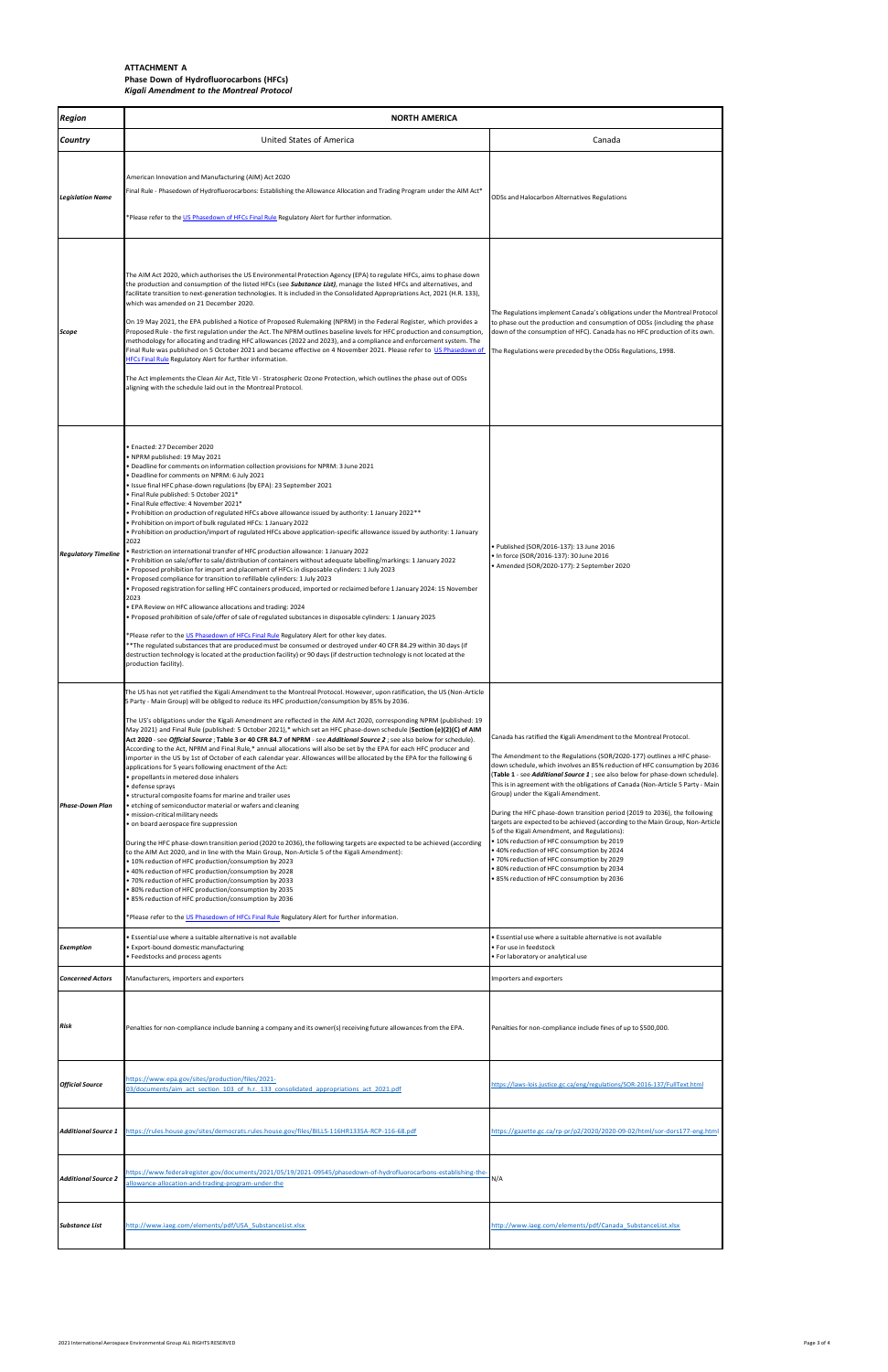| <b>Region</b>              | <b>NORTH AMERICA</b>                                                                                                                                                                                                                                                                                                                                                                                                                                                                                                                                                                                                                                                                                                                                                                                                                                                                                                                                                                                                                                                                                                                                                                                                                                                                                                                                                                                                                                                                                                                                                                                                                                                                                                                                                                                                    |                                                                                                                                                                                                                                                                                                                                                                                                                                                                                                                                                                                                                                                                                                                                                                                                                                                                                       |  |  |  |
|----------------------------|-------------------------------------------------------------------------------------------------------------------------------------------------------------------------------------------------------------------------------------------------------------------------------------------------------------------------------------------------------------------------------------------------------------------------------------------------------------------------------------------------------------------------------------------------------------------------------------------------------------------------------------------------------------------------------------------------------------------------------------------------------------------------------------------------------------------------------------------------------------------------------------------------------------------------------------------------------------------------------------------------------------------------------------------------------------------------------------------------------------------------------------------------------------------------------------------------------------------------------------------------------------------------------------------------------------------------------------------------------------------------------------------------------------------------------------------------------------------------------------------------------------------------------------------------------------------------------------------------------------------------------------------------------------------------------------------------------------------------------------------------------------------------------------------------------------------------|---------------------------------------------------------------------------------------------------------------------------------------------------------------------------------------------------------------------------------------------------------------------------------------------------------------------------------------------------------------------------------------------------------------------------------------------------------------------------------------------------------------------------------------------------------------------------------------------------------------------------------------------------------------------------------------------------------------------------------------------------------------------------------------------------------------------------------------------------------------------------------------|--|--|--|
| <b>Country</b>             | <b>United States of America</b>                                                                                                                                                                                                                                                                                                                                                                                                                                                                                                                                                                                                                                                                                                                                                                                                                                                                                                                                                                                                                                                                                                                                                                                                                                                                                                                                                                                                                                                                                                                                                                                                                                                                                                                                                                                         | Canada                                                                                                                                                                                                                                                                                                                                                                                                                                                                                                                                                                                                                                                                                                                                                                                                                                                                                |  |  |  |
| <b>Legislation Name</b>    | American Innovation and Manufacturing (AIM) Act 2020<br>Final Rule - Phasedown of Hydrofluorocarbons: Establishing the Allowance Allocation and Trading Program under the AIM Act*<br>*Please refer to the US Phasedown of HFCs Final Rule Regulatory Alert for further information.                                                                                                                                                                                                                                                                                                                                                                                                                                                                                                                                                                                                                                                                                                                                                                                                                                                                                                                                                                                                                                                                                                                                                                                                                                                                                                                                                                                                                                                                                                                                    | ODSs and Halocarbon Alternatives Regulations                                                                                                                                                                                                                                                                                                                                                                                                                                                                                                                                                                                                                                                                                                                                                                                                                                          |  |  |  |
| Scope                      | The AIM Act 2020, which authorises the US Environmental Protection Agency (EPA) to regulate HFCs, aims to phase down<br>the production and consumption of the listed HFCs (see Substance List), manage the listed HFCs and alternatives, and<br>facilitate transition to next-generation technologies. It is included in the Consolidated Appropriations Act, 2021 (H.R. 133),<br>which was amended on 21 December 2020.<br>On 19 May 2021, the EPA published a Notice of Proposed Rulemaking (NPRM) in the Federal Register, which provides a<br>Proposed Rule - the first regulation under the Act. The NPRM outlines baseline levels for HFC production and consumption,<br>methodology for allocating and trading HFC allowances (2022 and 2023), and a compliance and enforcement system. The<br>Final Rule was published on 5 October 2021 and became effective on 4 November 2021. Please refer to US Phasedown of<br><b>HFCs Final Rule Regulatory Alert for further information.</b><br>The Act implements the Clean Air Act, Title VI - Stratospheric Ozone Protection, which outlines the phase out of ODSs<br>aligning with the schedule laid out in the Montreal Protocol.                                                                                                                                                                                                                                                                                                                                                                                                                                                                                                                                                                                                                                 | The Regulations implement Canada's obligations under the Montreal Protocol<br>to phase out the production and consumption of ODSs (including the phase<br>down of the consumption of HFC). Canada has no HFC production of its own.<br>The Regulations were preceded by the ODSs Regulations, 1998.                                                                                                                                                                                                                                                                                                                                                                                                                                                                                                                                                                                   |  |  |  |
| <b>Regulatory Timeline</b> | · Enacted: 27 December 2020<br>• NPRM published: 19 May 2021<br>. Deadline for comments on information collection provisions for NPRM: 3 June 2021<br>· Deadline for comments on NPRM: 6 July 2021<br>. Issue final HFC phase-down regulations (by EPA): 23 September 2021<br>• Final Rule published: 5 October 2021*<br>• Final Rule effective: 4 November 2021*<br>• Prohibition on production of regulated HFCs above allowance issued by authority: 1 January 2022 **<br>. Prohibition on import of bulk regulated HFCs: 1 January 2022<br>• Prohibition on production/import of regulated HFCs above application-specific allowance issued by authority: 1 January<br>2022<br>Restriction on international transfer of HFC production allowance: 1 January 2022<br>• Prohibition on sale/offer to sale/distribution of containers without adequate labelling/markings: 1 January 2022<br>. Proposed prohibition for import and placement of HFCs in disposable cylinders: 1 July 2023<br>• Proposed compliance for transition to refillable cylinders: 1 July 2023<br>• Proposed registration for selling HFC containers produced, imported or reclaimed before 1 January 2024: 15 November<br>2023<br>• EPA Review on HFC allowance allocations and trading: 2024<br>Proposed prohibition of sale/offer of sale of regulated substances in disposable cylinders: 1 January 2025<br>*Please refer to the US Phasedown of HFCs Final Rule Regulatory Alert for other key dates.<br>**The regulated substances that are produced must be consumed or destroyed under 40 CFR 84.29 within 30 days (if<br>destruction technology is located at the production facility) or 90 days (if destruction technology is not located at the<br>production facility).                                                           | • Published (SOR/2016-137): 13 June 2016<br>In force (SOR/2016-137): 30 June 2016<br>Amended (SOR/2020-177): 2 September 2020 •                                                                                                                                                                                                                                                                                                                                                                                                                                                                                                                                                                                                                                                                                                                                                       |  |  |  |
| <b>Phase-Down Plan</b>     | The US has not yet ratified the Kigali Amendment to the Montreal Protocol. However, upon ratification, the US (Non-Article<br>5 Party - Main Group) will be obliged to reduce its HFC production/consumption by 85% by 2036.<br>The US's obligations under the Kigali Amendment are reflected in the AIM Act 2020, corresponding NPRM (published: 19<br>May 2021) and Final Rule (published: 5 October 2021),* which set an HFC phase-down schedule (Section (e)(2)(C) of AIM<br>Act 2020 - see Official Source ; Table 3 or 40 CFR 84.7 of NPRM - see Additional Source 2 ; see also below for schedule).<br>According to the Act, NPRM and Final Rule,* annual allocations will also be set by the EPA for each HFC producer and<br>importer in the US by 1st of October of each calendar year. Allowances will be allocated by the EPA for the following 6<br>applications for 5 years following enactment of the Act:<br>· propellants in metered dose inhalers<br>· defense sprays<br>• structural composite foams for marine and trailer uses<br>• etching of semiconductor material or wafers and cleaning<br>· mission-critical military needs<br>on board aerospace fire suppression<br>During the HFC phase-down transition period (2020 to 2036), the following targets are expected to be achieved (according<br>to the AIM Act 2020, and in line with the Main Group, Non-Article 5 of the Kigali Amendment):<br>• 10% reduction of HFC production/consumption by 2023<br>• 40% reduction of HFC production/consumption by 2028<br>70% reduction of HFC production/consumption by 2033<br>• 80% reduction of HFC production/consumption by 2035<br>• 85% reduction of HFC production/consumption by 2036<br>*Please refer to the US Phasedown of HFCs Final Rule Regulatory Alert for further information. | Canada has ratified the Kigali Amendment to the Montreal Protocol.<br>The Amendment to the Regulations (SOR/2020-177) outlines a HFC phase-<br>down schedule, which involves an 85% reduction of HFC consumption by 2036<br>(Table 1 - see Additional Source 1; see also below for phase-down schedule).<br>This is in agreement with the obligations of Canada (Non-Article 5 Party - Main<br>Group) under the Kigali Amendment.<br>During the HFC phase-down transition period (2019 to 2036), the following<br>targets are expected to be achieved (according to the Main Group, Non-Article<br>5 of the Kigali Amendment, and Regulations):<br>• 10% reduction of HFC consumption by 2019<br>∙ 40% reduction of HFC consumption by 2024<br>• 70% reduction of HFC consumption by 2029<br>• 80% reduction of HFC consumption by 2034<br>∙ 85% reduction of HFC consumption by 2036 |  |  |  |
| <b>Exemption</b>           | Essential use where a suitable alternative is not available<br>• Export-bound domestic manufacturing<br>• Feedstocks and process agents                                                                                                                                                                                                                                                                                                                                                                                                                                                                                                                                                                                                                                                                                                                                                                                                                                                                                                                                                                                                                                                                                                                                                                                                                                                                                                                                                                                                                                                                                                                                                                                                                                                                                 | • Essential use where a suitable alternative is not available<br>• For use in feedstock<br>· For laboratory or analytical use                                                                                                                                                                                                                                                                                                                                                                                                                                                                                                                                                                                                                                                                                                                                                         |  |  |  |
| <b>Concerned Actors</b>    | Manufacturers, importers and exporters                                                                                                                                                                                                                                                                                                                                                                                                                                                                                                                                                                                                                                                                                                                                                                                                                                                                                                                                                                                                                                                                                                                                                                                                                                                                                                                                                                                                                                                                                                                                                                                                                                                                                                                                                                                  | Importers and exporters                                                                                                                                                                                                                                                                                                                                                                                                                                                                                                                                                                                                                                                                                                                                                                                                                                                               |  |  |  |
| Risk                       | Penalties for non-compliance include banning a company and its owner(s) receiving future allowances from the EPA.                                                                                                                                                                                                                                                                                                                                                                                                                                                                                                                                                                                                                                                                                                                                                                                                                                                                                                                                                                                                                                                                                                                                                                                                                                                                                                                                                                                                                                                                                                                                                                                                                                                                                                       | Penalties for non-compliance include fines of up to \$500,000.                                                                                                                                                                                                                                                                                                                                                                                                                                                                                                                                                                                                                                                                                                                                                                                                                        |  |  |  |
| <b>Official Source</b>     | https://www.epa.gov/sites/production/files/2021-<br>03/documents/aim act section 103 of h.r. 133 consolidated appropriations act 2021.pdf                                                                                                                                                                                                                                                                                                                                                                                                                                                                                                                                                                                                                                                                                                                                                                                                                                                                                                                                                                                                                                                                                                                                                                                                                                                                                                                                                                                                                                                                                                                                                                                                                                                                               | https://laws-lois.justice.gc.ca/eng/regulations/SOR-2016-137/FullText.html                                                                                                                                                                                                                                                                                                                                                                                                                                                                                                                                                                                                                                                                                                                                                                                                            |  |  |  |
| <b>Additional Source 1</b> | https://rules.house.gov/sites/democrats.rules.house.gov/files/BILLS-116HR133SA-RCP-116-68.pdf                                                                                                                                                                                                                                                                                                                                                                                                                                                                                                                                                                                                                                                                                                                                                                                                                                                                                                                                                                                                                                                                                                                                                                                                                                                                                                                                                                                                                                                                                                                                                                                                                                                                                                                           | https://gazette.gc.ca/rp-pr/p2/2020/2020-09-02/html/sor-dors177-eng.html                                                                                                                                                                                                                                                                                                                                                                                                                                                                                                                                                                                                                                                                                                                                                                                                              |  |  |  |
| <b>Additional Source 2</b> | https://www.federalregister.gov/documents/2021/05/19/2021-09545/phasedown-of-hydrofluorocarbons-establishing-the-<br>allowance-allocation-and-trading-program-under-the                                                                                                                                                                                                                                                                                                                                                                                                                                                                                                                                                                                                                                                                                                                                                                                                                                                                                                                                                                                                                                                                                                                                                                                                                                                                                                                                                                                                                                                                                                                                                                                                                                                 | N/A                                                                                                                                                                                                                                                                                                                                                                                                                                                                                                                                                                                                                                                                                                                                                                                                                                                                                   |  |  |  |
| <b>Substance List</b>      | http://www.iaeg.com/elements/pdf/USA SubstanceList.xlsx                                                                                                                                                                                                                                                                                                                                                                                                                                                                                                                                                                                                                                                                                                                                                                                                                                                                                                                                                                                                                                                                                                                                                                                                                                                                                                                                                                                                                                                                                                                                                                                                                                                                                                                                                                 | http://www.iaeg.com/elements/pdf/Canada SubstanceList.xlsx                                                                                                                                                                                                                                                                                                                                                                                                                                                                                                                                                                                                                                                                                                                                                                                                                            |  |  |  |